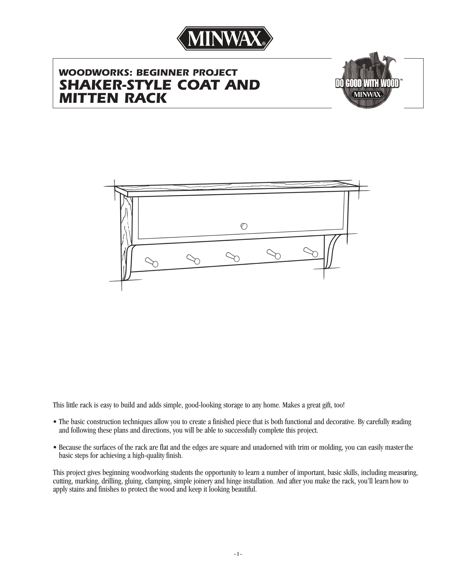

# *WOODWORKS: BEGINNER PROJECT SHAKER-STYLE COAT AND MITTEN RACK*





This little rack is easy to build and adds simple, good-looking storage to any home. Makes a great gift, too!

- The basic construction techniques allow you to create a finished piece that is both functional and decorative. By carefully reading and following these plans and directions, you will be able to successfully complete this project.
- Because the surfaces of the rack are flat and the edges are square and unadorned with trim or molding, you can easily masterthe basic steps for achieving a high-quality finish.

This project gives beginning woodworking students the opportunity to learn a number of important, basic skills, including measuring, cutting, marking, drilling, gluing, clamping, simple joinery and hinge installation. And after you make the rack, you'll learn how to apply stains and finishes to protect the wood and keep it looking beautiful.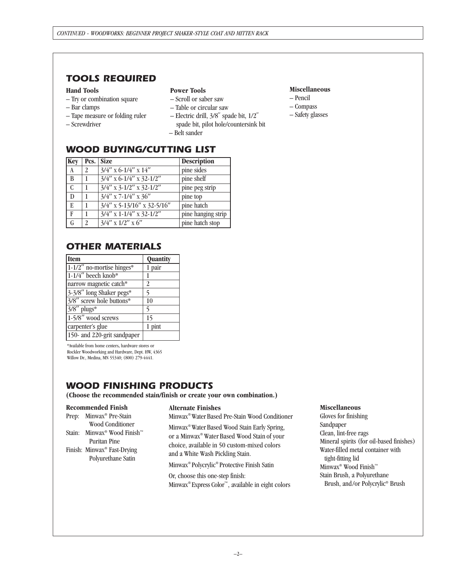## *TOOLS REQUIRED*

### **Hand Tools**

- Try or combination square
- Bar clamps
- Tape measure or folding ruler
- Screwdriver

### **Power Tools**

- Scroll or saber saw
- Table or circular saw
- Electric drill, 3/8**''** spade bit, 1/2**''** spade bit, pilot hole/countersink bit – Belt sander
- *WOOD BUYING/CUTTING LIST*

| Key          | Pcs.           | <b>Size</b>                   | <b>Description</b> |
|--------------|----------------|-------------------------------|--------------------|
| $\mathbf{A}$ | 2              | $3/4''$ x 6-1/4" x 14"        | pine sides         |
| B            |                | $3/4$ " x 6-1/4" x 32-1/2"    | pine shelf         |
| C            |                | $3/4''$ x 3-1/2" x 32-1/2"    | pine peg strip     |
| D            | 1              | $3/4$ " x 7-1/4" x 36"        | pine top           |
| E            |                | $3/4$ " x 5-13/16" x 32-5/16" | pine hatch         |
| $\mathbf{F}$ | 1              | $3/4''$ x 1-1/4" x 32-1/2"    | pine hanging strip |
| G            | $\mathfrak{D}$ | $3/4''$ x $1/2''$ x $6''$     | pine hatch stop    |

### *OTHER MATERIALS*

| <b>Item</b>                  | Quantity |
|------------------------------|----------|
| $1-1/2$ " no-mortise hinges* | 1 pair   |
| $1-1/4$ " beech knob*        |          |
| narrow magnetic catch*       | 2        |
| 3-3/8" long Shaker pegs*     | 5        |
| 3/8" screw hole buttons*     | 10       |
| $3/8''$ plugs*               | 5        |
| 1-5/8" wood screws           | 15       |
| carpenter's glue             | 1 pint   |
| 150- and 220-grit sandpaper  |          |

\*Available from home centers**,** hardware stores or Rockler Woodworking and Hardware, Dept. HW, 4365 Willow Dr., Medina, MN 55340; (800) 279-4441.

## *WOOD FINISHING PRODUCTS*

**(Choose the recommended stain/finish or create your own combination.)**

### **Recommended Finish**

| Prep: Minwax <sup>®</sup> Pre-Stain                 |
|-----------------------------------------------------|
| <b>Wood Conditioner</b>                             |
| Stain: Minwax <sup>®</sup> Wood Finish <sup>™</sup> |
| <b>Puritan Pine</b>                                 |
| Finish: Minwax® Fast-Drying                         |
| Polyurethane Satin                                  |

### **Alternate Finishes**

Minwax ® Water Based Pre-Stain Wood Conditioner

Minwax ® Water Based Wood Stain Early Spring, or a Minwax® Water Based Wood Stain of your choice, available in 50 custom-mixed colors and a White Wash Pickling Stain.

Minwax ® Polycrylic ® Protective Finish Satin

Or, choose this one-step finish: Minwax ® Express Color™, available in eight colors

### **Miscellaneous**

- Pencil
- Compass
- Safety glasses

### **Miscellaneous**

Gloves for finishing Sandpaper Clean, lint-free rags Mineral spirits (for oil-based finishes) Water-filled metal container with tight-fitting lid Minwax® Wood Finish™ Stain Brush, a Polyurethane Brush, and/or Polycrylic® Brush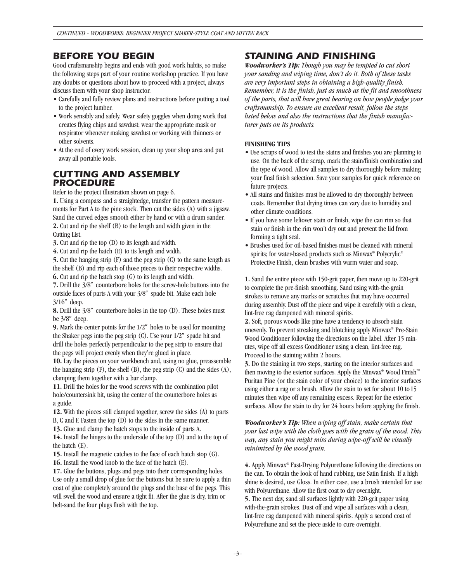### *BEFORE YOU BEGIN*

Good craftsmanship begins and ends with good work habits, so make the following steps part of your routine workshop practice. If you have any doubts or questions about how to proceed with a project, always discuss them with your shop instructor.

- Carefully and fully review plans and instructions before putting a tool to the project lumber.
- Work sensibly and safely. Wear safety goggles when doing work that creates flying chips and sawdust; wear the appropriate mask or respirator whenever making sawdust or working with thinners or other solvents.
- At the end of every work session, clean up your shop area and put away all portable tools.

### *CUTTING AND ASSEMBLY PROCEDURE*

Refer to the project illustration shown on page 6.

**1.** Using a compass and a straightedge, transfer the pattern measurements for Part A to the pine stock. Then cut the sides (A) with a jigsaw. Sand the curved edges smooth either by hand or with a drum sander. **2.** Cut and rip the shelf (B) to the length and width given in the Cutting List.

**3.** Cut and rip the top (D) to its length and width.

**4.** Cut and rip the hatch (E) to its length and width.

**5.** Cut the hanging strip (F) and the peg strip (C) to the same length as the shelf (B) and rip each of those pieces to their respective widths. **6.** Cut and rip the hatch stop (G) to its length and width.

**7.** Drill the 3/8**"** counterbore holes for the screw-hole buttons into the outside faces of parts A with your 3/8**"** spade bit. Make each hole 3/16**"** deep.

**8.** Drill the 3/8**"** counterbore holes in the top (D). These holes must be 3/8**"** deep.

**9.** Mark the center points for the 1/2**"** holes to be used for mounting the Shaker pegs into the peg strip (C). Use your 1/2**"** spade bit and drill the holes perfectly perpendicular to the peg strip to ensure that the pegs will project evenly when they're glued in place.

**10.** Lay the pieces on your workbench and, using no glue, preassemble the hanging strip  $(F)$ , the shelf  $(B)$ , the peg strip  $(C)$  and the sides  $(A)$ , clamping them together with a bar clamp.

**11.** Drill the holes for the wood screws with the combination pilot hole/countersink bit, using the center of the counterbore holes as a guide.

**12.** With the pieces still clamped together, screw the sides (A) to parts B, C and F. Fasten the top (D) to the sides in the same manner.

**13.** Glue and clamp the hatch stops to the inside of parts A.

**14.** Install the hinges to the underside of the top (D) and to the top of the hatch (E).

**15.** Install the magnetic catches to the face of each hatch stop (G).

**16.** Install the wood knob to the face of the hatch (E).

**17.** Glue the buttons, plugs and pegs into their corresponding holes. Use only a small drop of glue for the buttons but be sure to apply a thin coat of glue completely around the plugs and the base of the pegs. This will swell the wood and ensure a tight fit. After the glue is dry, trim or belt-sand the four plugs flush with the top.

### *STAINING AND FINISHING*

*Woodworker's Tip: Though you may be tempted to cut short your sanding and wiping time, don't do it. Both of these tasks are very important steps in obtaining a high-quality finish. Remember, it is the finish, just as much as the fit and smoothness of the parts, that will have great bearing on how people judge your craftsmanship. To ensure an excellent result, follow the steps listed below and also the instructions that the finish manufacturer puts on its products.*

### **FINISHING TIPS**

- Use scraps of wood to test the stains and finishes you are planning to use. On the back of the scrap, mark the stain/finish combination and the type of wood. Allow all samples to dry thoroughly before making your final finish selection. Save your samples for quick reference on future projects.
- All stains and finishes must be allowed to dry thoroughly between coats. Remember that drying times can vary due to humidity and other climate conditions.
- If you have some leftover stain or finish, wipe the can rim so that stain or finish in the rim won't dry out and prevent the lid from forming a tight seal.
- Brushes used for oil-based finishes must be cleaned with mineral spirits; for water-based products such as Minwax ® Polycrylic® Protective Finish, clean brushes with warm water and soap.

**1.** Sand the entire piece with 150-grit paper, then move up to 220-grit to complete the pre-finish smoothing. Sand using with-the-grain strokes to remove any marks or scratches that may have occurred during assembly. Dust off the piece and wipe it carefully with a clean, lint-free rag dampened with mineral spirits.

**2.** Soft, porous woods like pine have a tendency to absorb stain unevenly. To prevent streaking and blotching apply Minwax ® Pre-Stain Wood Conditioner following the directions on the label. After 15 minutes, wipe off all excess Conditioner using a clean, lint-free rag. Proceed to the staining within 2 hours.

**3.** Do the staining in two steps, starting on the interior surfaces and then moving to the exterior surfaces. Apply the Minwax<sup>®</sup> Wood Finish<sup>™</sup> Puritan Pine (or the stain color of your choice) to the interior surfaces using either a rag or a brush. Allow the stain to set for about 10 to15 minutes then wipe off any remaining excess. Repeat for the exterior surfaces. Allow the stain to dry for 24 hours before applying the finish.

*Woodworker's Tip: When wiping off stain, make certain that your last wipe with the cloth goes with the grain of the wood. This way, any stain you might miss during wipe-off will be visually minimized by the wood grain.* 

**4.** Apply Minwax® Fast-Drying Polyurethane following the directions on the can. To obtain the look of hand rubbing, use Satin finish. If a high shine is desired, use Gloss. In either case, use a brush intended for use with Polyurethane. Allow the first coat to dry overnight.

**5.** The next day, sand all surfaces lightly with 220-grit paper using with-the-grain strokes. Dust off and wipe all surfaces with a clean, lint-free rag dampened with mineral spirits. Apply a second coat of Polyurethane and set the piece aside to cure overnight.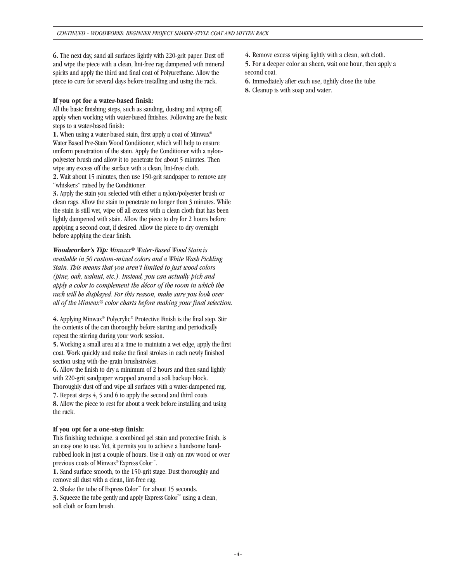**6.** The next day, sand all surfaces lightly with 220-grit paper. Dust off and wipe the piece with a clean, lint-free rag dampened with mineral spirits and apply the third and final coat of Polyurethane. Allow the piece to cure for several days before installing and using the rack.

### **If you opt for a water-based finish:**

All the basic finishing steps, such as sanding, dusting and wiping off, apply when working with water-based finishes. Following are the basic steps to a water-based finish:

1. When using a water-based stain, first apply a coat of Minwax® Water Based Pre-Stain Wood Conditioner, which will help to ensure uniform penetration of the stain. Apply the Conditioner with a nylonpolyester brush and allow it to penetrate for about 5 minutes. Then wipe any excess off the surface with a clean, lint-free cloth.

**2.** Wait about 15 minutes, then use 150-grit sandpaper to remove any "whiskers" raised by the Conditioner.

**3.** Apply the stain you selected with either a nylon/polyester brush or clean rags. Allow the stain to penetrate no longer than 3 minutes. While the stain is still wet, wipe off all excess with a clean cloth that has been lightly dampened with stain. Allow the piece to dry for 2 hours before applying a second coat, if desired. Allow the piece to dry overnight before applying the clear finish.

*Woodworker's Tip: Minwax*® *Water-Based Wood Stain is available in 50 custom-mixed colors and a White Wash Pickling Stain. This means that you aren't limited to just wood colors (pine, oak, walnut, etc.). Instead, you can actually pick and apply a color to complement the décor of the room in which the rack will be displayed. For this reason, make sure you look over all of the Minwax*® *color charts before making your final selection.*

**4.** Applying Minwax® Polycrylic® Protective Finish is the final step. Stir the contents of the can thoroughly before starting and periodically repeat the stirring during your work session.

**5.** Working a small area at a time to maintain a wet edge, apply the first coat. Work quickly and make the final strokes in each newly finished section using with-the-grain brushstrokes.

**6.** Allow the finish to dry a minimum of 2 hours and then sand lightly with 220-grit sandpaper wrapped around a soft backup block. Thoroughly dust off and wipe all surfaces with a water-dampened rag.

**7.** Repeat steps 4, 5 and 6 to apply the second and third coats. **8.** Allow the piece to rest for about a week before installing and using the rack.

### **If you opt for a one-step finish:**

This finishing technique, a combined gel stain and protective finish, is an easy one to use. Yet, it permits you to achieve a handsome handrubbed look in just a couple of hours. Use it only on raw wood or over previous coats of Minwax® Express Color™.

**1.** Sand surface smooth, to the 150-grit stage. Dust thoroughly and remove all dust with a clean, lint-free rag.

**2.** Shake the tube of Express Color™ for about 15 seconds.

**3.** Squeeze the tube gently and apply Express Color™ using a clean, soft cloth or foam brush.

**4.** Remove excess wiping lightly with a clean, soft cloth.

**5.** For a deeper color an sheen, wait one hour, then apply a second coat.

- **6.** Immediately after each use, tightly close the tube.
- **8.** Cleanup is with soap and water.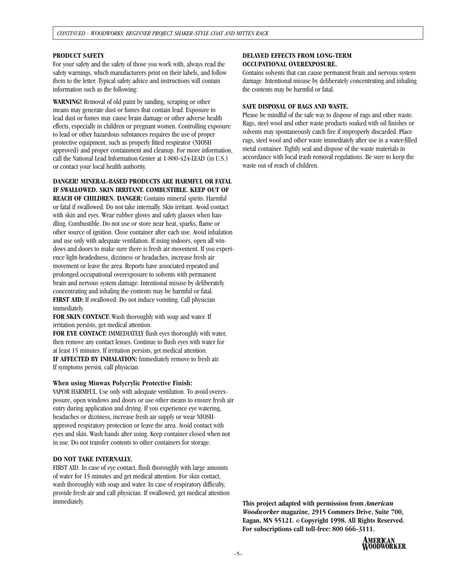### **PRODUCT SAFETY**

For your safety and the safety of those you work with, always read the safety warnings, which manufacturers print on their labels, and follow them to the letter. Typical safety advice and instructions will contain information such as the following:

**WARNING!** Removal of old paint by sanding, scraping or other means may generate dust or fumes that contain lead. Exposure to lead dust or fumes may cause brain damage or other adverse health effects, especially in children or pregnant women. Controlling exposure to lead or other hazardous substances requires the use of proper protective equipment, such as properly fitted respirator (NIOSH approved) and proper containment and cleanup. For more information, call the National Lead Information Center at 1-800-424-LEAD (in U.S.) or contact your local health authority.

**DANGER! MINERAL-BASED PRODUCTS ARE HARMFUL OR FATAL IF SWALLOWED. SKIN IRRITANT. COMBUSTIBLE. KEEP OUT OF REACH OF CHILDREN. DANGER:** Contains mineral spirits. Harmful or fatal if swallowed. Do not take internally. Skin irritant. Avoid contact with skin and eyes. Wear rubber gloves and safety glasses when handling. Combustible. Do not use or store near heat, sparks, flame or other source of ignition. Close container after each use. Avoid inhalation and use only with adequate ventilation. If using indoors, open all windows and doors to make sure there is fresh air movement. If you experience light-headedness, dizziness or headaches, increase fresh air movement or leave the area. Reports have associated repeated and prolonged occupational overexposure to solvents with permanent brain and nervous system damage. Intentional misuse by deliberately concentrating and inhaling the contents may be harmful or fatal. **FIRST AID:** If swallowed: Do not induce vomiting. Call physician immediately.

**FOR SKIN CONTACT:** Wash thoroughly with soap and water. If irritation persists, get medical attention.

**FOR EYE CONTACT:** IMMEDIATELY flush eyes thoroughly with water, then remove any contact lenses. Continue to flush eyes with water for at least 15 minutes. If irritation persists, get medical attention. **IF AFFECTED BY INHALATION:** Immediately remove to fresh air. If symptoms persist, call physician.

#### **When using Minwax Polycrylic Protective Finish:**

VAPOR HARMFUL. Use only with adequate ventilation. To avoid overexposure, open windows and doors or use other means to ensure fresh air entry during application and drying. If you experience eye watering, headaches or dizziness, increase fresh air supply or wear NIOSHapproved respiratory protection or leave the area. Avoid contact with eyes and skin. Wash hands after using. Keep container closed when not in use. Do not transfer contents to other containers for storage.

#### **DO NOT TAKE INTERNALLY.**

FIRST AID. In case of eye contact, flush thoroughly with large amounts of water for 15 minutes and get medical attention. For skin contact, wash thoroughly with soap and water. In case of respiratory difficulty, provide fresh air and call physician. If swallowed, get medical attention immediately.

### **DELAYED EFFECTS FROM LONG-TERM OCCUPATIONAL OVEREXPOSURE.**

Contains solvents that can cause permanent brain and nervous system damage. Intentional misuse by deliberately concentrating and inhaling the contents may be harmful or fatal.

#### **SAFE DISPOSAL OF RAGS AND WASTE.**

Please be mindful of the safe way to dispose of rags and other waste. Rags, steel wool and other waste products soaked with oil finishes or solvents may spontaneously catch fire if improperly discarded. Place rags, steel wool and other waste immediately after use in a water-filled metal container. Tightly seal and dispose of the waste materials in accordance with local trash removal regulations. Be sure to keep the waste out of reach of children.

**This project adapted with permission from** *American Woodworker* **magazine, 2915 Commers Drive, Suite 700, Eagan, MN 55121. © Copyright 1998. All Rights Reserved. For subscriptions call toll-free: 800 666-3111.**